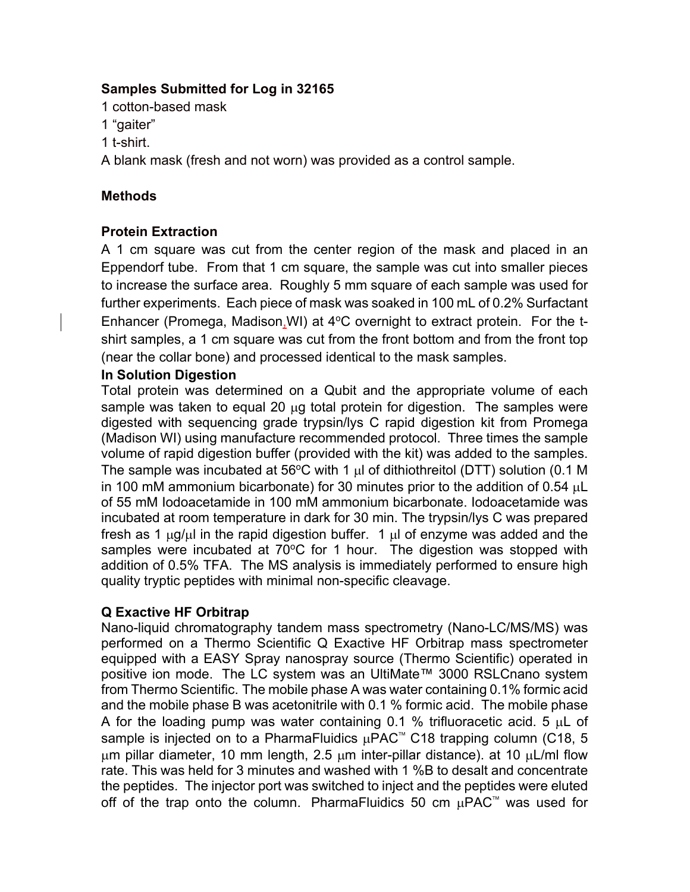### **Samples Submitted for Log in 32165**

1 cotton-based mask

- 1 "gaiter"
- 1 t-shirt.

A blank mask (fresh and not worn) was provided as a control sample.

### **Methods**

# **Protein Extraction**

A 1 cm square was cut from the center region of the mask and placed in an Eppendorf tube. From that 1 cm square, the sample was cut into smaller pieces to increase the surface area. Roughly 5 mm square of each sample was used for further experiments. Each piece of mask was soaked in 100 mL of 0.2% Surfactant Enhancer (Promega, Madison, WI) at  $4^{\circ}$ C overnight to extract protein. For the tshirt samples, a 1 cm square was cut from the front bottom and from the front top (near the collar bone) and processed identical to the mask samples.

### **In Solution Digestion**

Total protein was determined on a Qubit and the appropriate volume of each sample was taken to equal 20 µg total protein for digestion. The samples were digested with sequencing grade trypsin/lys C rapid digestion kit from Promega (Madison WI) using manufacture recommended protocol. Three times the sample volume of rapid digestion buffer (provided with the kit) was added to the samples. The sample was incubated at 56°C with 1  $\mu$ l of dithiothreitol (DTT) solution (0.1 M in 100 mM ammonium bicarbonate) for 30 minutes prior to the addition of 0.54 µL of 55 mM Iodoacetamide in 100 mM ammonium bicarbonate. Iodoacetamide was incubated at room temperature in dark for 30 min. The trypsin/lys C was prepared fresh as 1  $\mu$ g/ $\mu$  in the rapid digestion buffer. 1  $\mu$  of enzyme was added and the samples were incubated at  $70^{\circ}$ C for 1 hour. The digestion was stopped with addition of 0.5% TFA. The MS analysis is immediately performed to ensure high quality tryptic peptides with minimal non-specific cleavage.

# **Q Exactive HF Orbitrap**

Nano-liquid chromatography tandem mass spectrometry (Nano-LC/MS/MS) was performed on a Thermo Scientific Q Exactive HF Orbitrap mass spectrometer equipped with a EASY Spray nanospray source (Thermo Scientific) operated in positive ion mode. The LC system was an UltiMate™ 3000 RSLCnano system from Thermo Scientific. The mobile phase A was water containing 0.1% formic acid and the mobile phase B was acetonitrile with 0.1 % formic acid. The mobile phase A for the loading pump was water containing 0.1 % trifluoracetic acid. 5 µL of sample is injected on to a PharmaFluidics  $\mu$ PAC<sup>™</sup> C18 trapping column (C18, 5  $\mu$ m pillar diameter, 10 mm length, 2.5  $\mu$ m inter-pillar distance). at 10  $\mu$ L/ml flow rate. This was held for 3 minutes and washed with 1 %B to desalt and concentrate the peptides. The injector port was switched to inject and the peptides were eluted off of the trap onto the column. PharmaFluidics 50 cm  $\mu$ PAC<sup>™</sup> was used for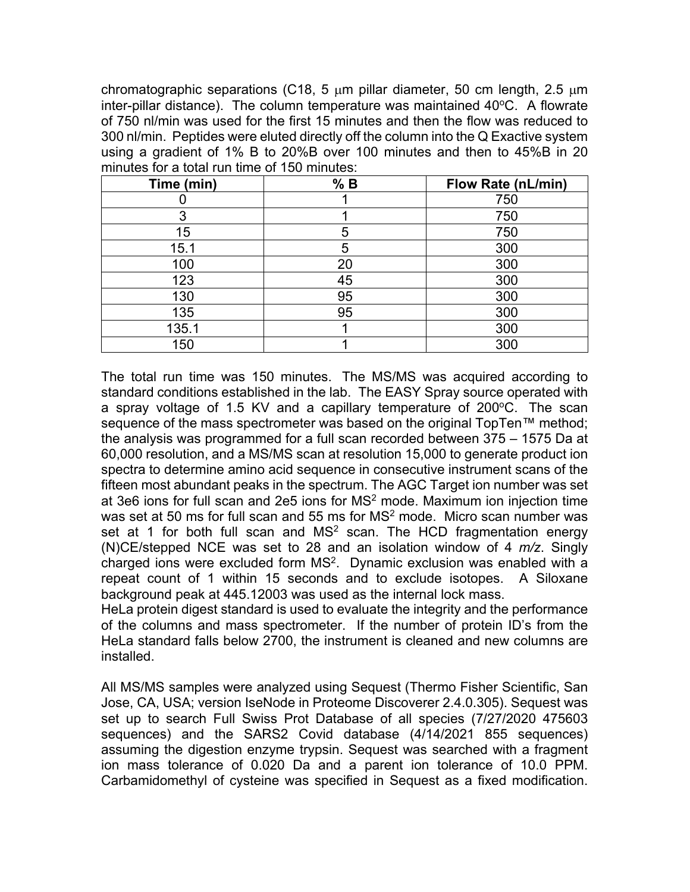chromatographic separations (C18, 5  $\mu$ m pillar diameter, 50 cm length, 2.5  $\mu$ m inter-pillar distance). The column temperature was maintained  $40^{\circ}$ C. A flowrate of 750 nl/min was used for the first 15 minutes and then the flow was reduced to 300 nl/min. Peptides were eluted directly off the column into the Q Exactive system using a gradient of 1% B to 20%B over 100 minutes and then to 45%B in 20 minutes for a total run time of 150 minutes:

| Time (min) | % B | <b>Flow Rate (nL/min)</b> |
|------------|-----|---------------------------|
|            |     | 750                       |
| 3          |     | 750                       |
| 15         | 5   | 750                       |
| 15.1       | 5   | 300                       |
| 100        | 20  | 300                       |
| 123        | 45  | 300                       |
| 130        | 95  | 300                       |
| 135        | 95  | 300                       |
| 135.1      |     | 300                       |
| 150        |     | 300                       |

The total run time was 150 minutes. The MS/MS was acquired according to standard conditions established in the lab. The EASY Spray source operated with a spray voltage of 1.5 KV and a capillary temperature of 200 $\degree$ C. The scan sequence of the mass spectrometer was based on the original TopTen™ method; the analysis was programmed for a full scan recorded between 375 – 1575 Da at 60,000 resolution, and a MS/MS scan at resolution 15,000 to generate product ion spectra to determine amino acid sequence in consecutive instrument scans of the fifteen most abundant peaks in the spectrum. The AGC Target ion number was set at 3e6 ions for full scan and 2e5 ions for  $MS<sup>2</sup>$  mode. Maximum ion injection time was set at 50 ms for full scan and 55 ms for  $MS<sup>2</sup>$  mode. Micro scan number was set at 1 for both full scan and  $MS<sup>2</sup>$  scan. The HCD fragmentation energy (N)CE/stepped NCE was set to 28 and an isolation window of 4 *m/z*. Singly charged ions were excluded form  $MS<sup>2</sup>$ . Dynamic exclusion was enabled with a repeat count of 1 within 15 seconds and to exclude isotopes. A Siloxane background peak at 445.12003 was used as the internal lock mass.

HeLa protein digest standard is used to evaluate the integrity and the performance of the columns and mass spectrometer. If the number of protein ID's from the HeLa standard falls below 2700, the instrument is cleaned and new columns are installed.

All MS/MS samples were analyzed using Sequest (Thermo Fisher Scientific, San Jose, CA, USA; version IseNode in Proteome Discoverer 2.4.0.305). Sequest was set up to search Full Swiss Prot Database of all species (7/27/2020 475603 sequences) and the SARS2 Covid database (4/14/2021 855 sequences) assuming the digestion enzyme trypsin. Sequest was searched with a fragment ion mass tolerance of 0.020 Da and a parent ion tolerance of 10.0 PPM. Carbamidomethyl of cysteine was specified in Sequest as a fixed modification.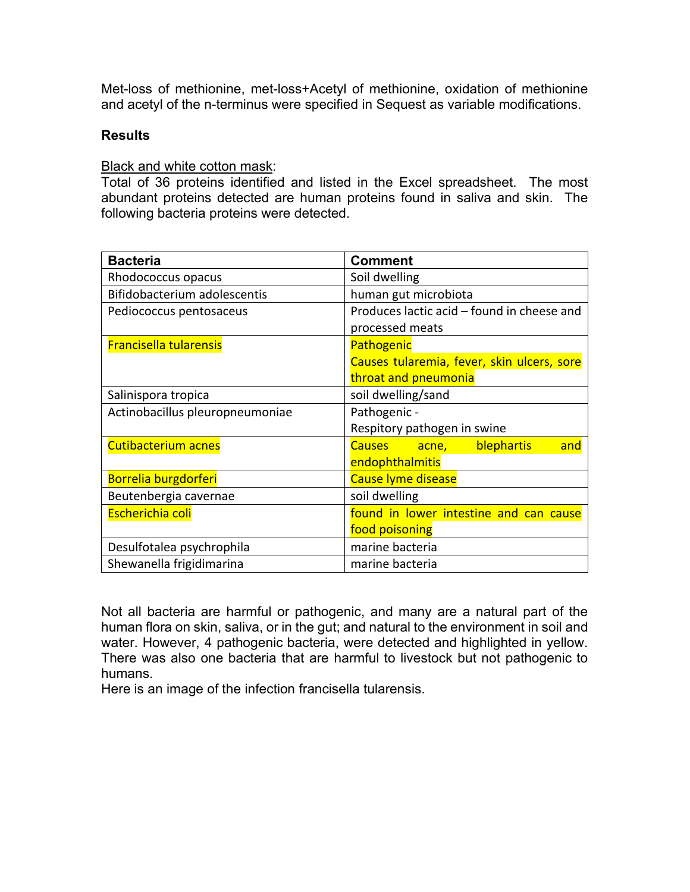Met-loss of methionine, met-loss+Acetyl of methionine, oxidation of methionine and acetyl of the n-terminus were specified in Sequest as variable modifications.

#### **Results**

**Black and white cotton mask:** 

Total of 36 proteins identified and listed in the Excel spreadsheet. The most abundant proteins detected are human proteins found in saliva and skin. The following bacteria proteins were detected.

| <b>Bacteria</b>                 | <b>Comment</b>                             |  |
|---------------------------------|--------------------------------------------|--|
| Rhodococcus opacus              | Soil dwelling                              |  |
| Bifidobacterium adolescentis    | human gut microbiota                       |  |
| Pediococcus pentosaceus         | Produces lactic acid – found in cheese and |  |
|                                 | processed meats                            |  |
| <b>Francisella tularensis</b>   | Pathogenic                                 |  |
|                                 | Causes tularemia, fever, skin ulcers, sore |  |
|                                 | throat and pneumonia                       |  |
| Salinispora tropica             | soil dwelling/sand                         |  |
| Actinobacillus pleuropneumoniae | Pathogenic -                               |  |
|                                 | Respitory pathogen in swine                |  |
| Cutibacterium acnes             | Causes acne, blephartis<br>and             |  |
|                                 | endophthalmitis                            |  |
| Borrelia burgdorferi            | Cause lyme disease                         |  |
| Beutenbergia cavernae           | soil dwelling                              |  |
| Escherichia coli                | found in lower intestine and can cause     |  |
|                                 | food poisoning                             |  |
| Desulfotalea psychrophila       | marine bacteria                            |  |
| Shewanella frigidimarina        | marine bacteria                            |  |

Not all bacteria are harmful or pathogenic, and many are a natural part of the human flora on skin, saliva, or in the gut; and natural to the environment in soil and water. However, 4 pathogenic bacteria, were detected and highlighted in yellow. There was also one bacteria that are harmful to livestock but not pathogenic to humans.

Here is an image of the infection francisella tularensis.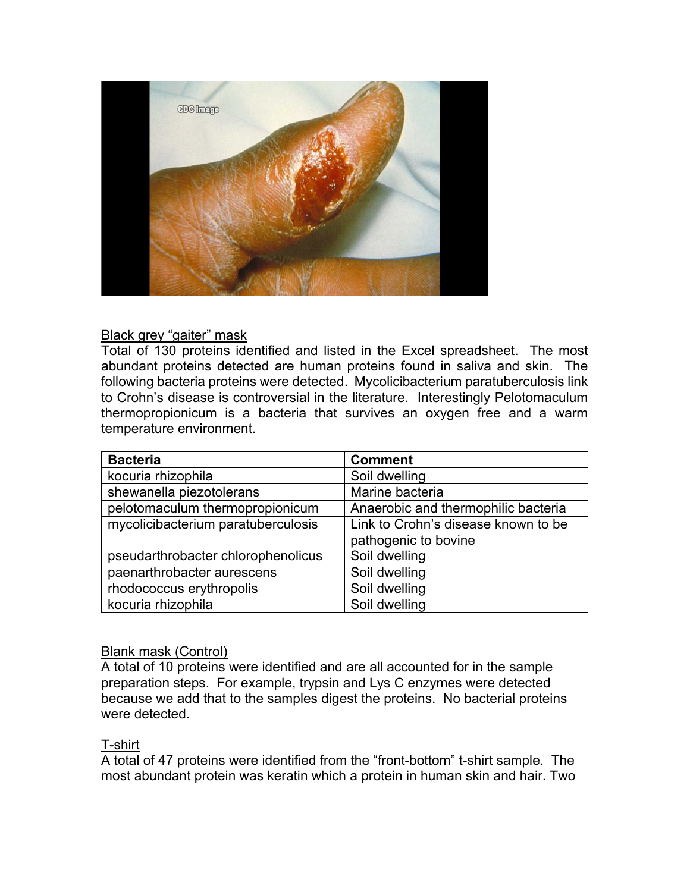

#### Black grey "gaiter" mask

Total of 130 proteins identified and listed in the Excel spreadsheet. The most abundant proteins detected are human proteins found in saliva and skin. The following bacteria proteins were detected. Mycolicibacterium paratuberculosis link to Crohn's disease is controversial in the literature. Interestingly Pelotomaculum thermopropionicum is a bacteria that survives an oxygen free and a warm temperature environment.

| <b>Bacteria</b>                    | <b>Comment</b>                      |
|------------------------------------|-------------------------------------|
| kocuria rhizophila                 | Soil dwelling                       |
| shewanella piezotolerans           | Marine bacteria                     |
| pelotomaculum thermopropionicum    | Anaerobic and thermophilic bacteria |
| mycolicibacterium paratuberculosis | Link to Crohn's disease known to be |
|                                    | pathogenic to bovine                |
| pseudarthrobacter chlorophenolicus | Soil dwelling                       |
| paenarthrobacter aurescens         | Soil dwelling                       |
| rhodococcus erythropolis           | Soil dwelling                       |
| kocuria rhizophila                 | Soil dwelling                       |

#### Blank mask (Control)

A total of 10 proteins were identified and are all accounted for in the sample preparation steps. For example, trypsin and Lys C enzymes were detected because we add that to the samples digest the proteins. No bacterial proteins were detected.

#### T-shirt

A total of 47 proteins were identified from the "front-bottom" t-shirt sample. The most abundant protein was keratin which a protein in human skin and hair. Two